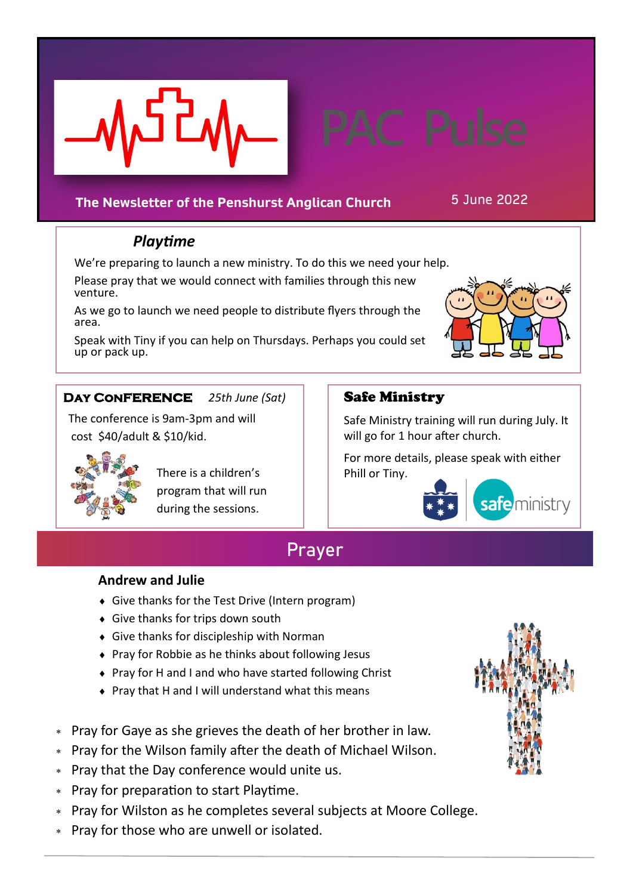

# **The Newsletter of the Penshurst Anglican Church** 5 June 2022

# *Playtime*

We're preparing to launch a new ministry. To do this we need your help.

Please pray that we would connect with families through this new venture.

As we go to launch we need people to distribute flyers through the area.

Speak with Tiny if you can help on Thursdays. Perhaps you could set up or pack up.



## **Day Conference** *25th June (Sat)*

 The conference is 9am-3pm and will cost \$40/adult & \$10/kid.



 There is a children's program that will run during the sessions.

## Safe Ministry

Safe Ministry training will run during July. It will go for 1 hour after church.

For more details, please speak with either Phill or Tiny.



# **Prayer**

### **Andrew and Julie**

- Give thanks for the Test Drive (Intern program)
- Give thanks for trips down south
- Give thanks for discipleship with Norman
- ◆ Pray for Robbie as he thinks about following Jesus
- ◆ Pray for H and I and who have started following Christ
- $\bullet$  Pray that H and I will understand what this means
- Pray for Gaye as she grieves the death of her brother in law.
- Pray for the Wilson family after the death of Michael Wilson.
- Pray that the Day conference would unite us.
- Pray for preparation to start Playtime.
- Pray for Wilston as he completes several subjects at Moore College.
- Pray for those who are unwell or isolated.